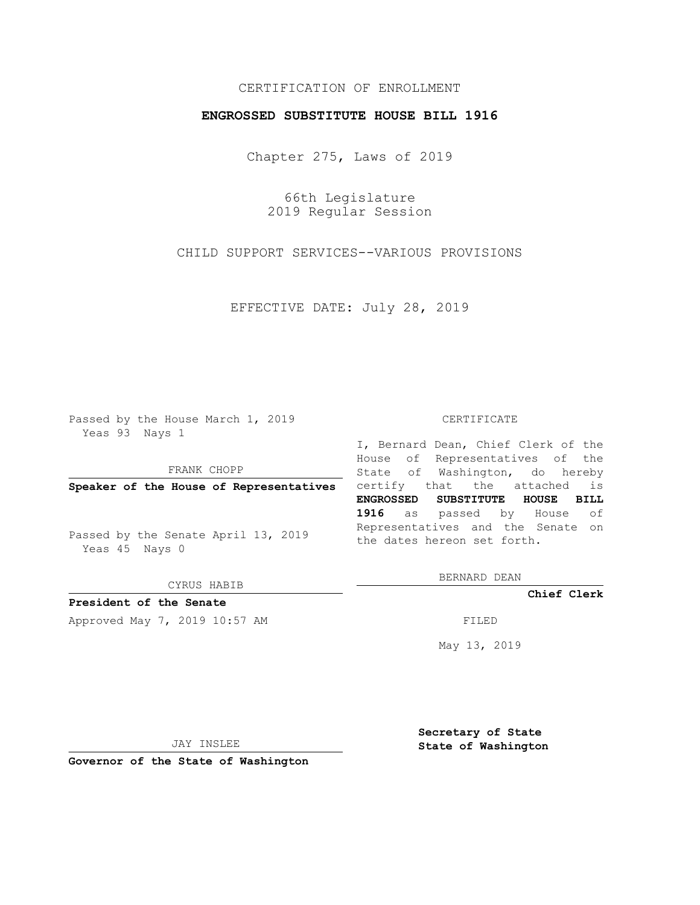## CERTIFICATION OF ENROLLMENT

#### **ENGROSSED SUBSTITUTE HOUSE BILL 1916**

Chapter 275, Laws of 2019

66th Legislature 2019 Regular Session

CHILD SUPPORT SERVICES--VARIOUS PROVISIONS

EFFECTIVE DATE: July 28, 2019

Passed by the House March 1, 2019 Yeas 93 Nays 1

FRANK CHOPP

Passed by the Senate April 13, 2019 Yeas 45 Nays 0

CYRUS HABIB

**President of the Senate**

Approved May 7, 2019 10:57 AM FILED

#### CERTIFICATE

**Speaker of the House of Representatives** certify that the attached is I, Bernard Dean, Chief Clerk of the House of Representatives of the State of Washington, do hereby **ENGROSSED SUBSTITUTE HOUSE BILL 1916** as passed by House of Representatives and the Senate on the dates hereon set forth.

BERNARD DEAN

**Chief Clerk**

May 13, 2019

JAY INSLEE

**Governor of the State of Washington**

**Secretary of State State of Washington**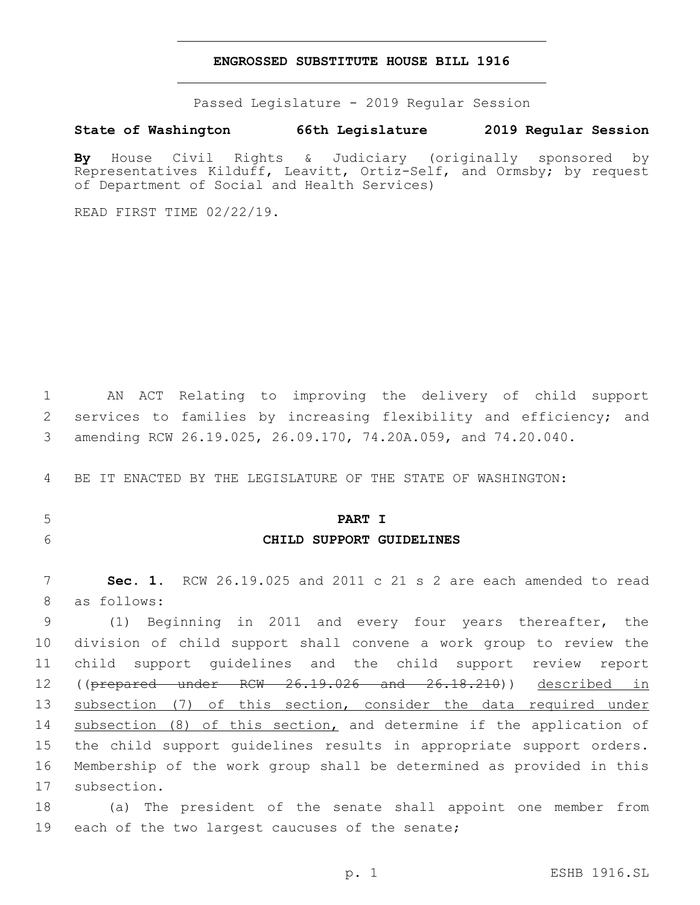#### **ENGROSSED SUBSTITUTE HOUSE BILL 1916**

Passed Legislature - 2019 Regular Session

#### **State of Washington 66th Legislature 2019 Regular Session**

**By** House Civil Rights & Judiciary (originally sponsored by Representatives Kilduff, Leavitt, Ortiz-Self, and Ormsby; by request of Department of Social and Health Services)

READ FIRST TIME 02/22/19.

1 AN ACT Relating to improving the delivery of child support 2 services to families by increasing flexibility and efficiency; and 3 amending RCW 26.19.025, 26.09.170, 74.20A.059, and 74.20.040.

4 BE IT ENACTED BY THE LEGISLATURE OF THE STATE OF WASHINGTON:

## 5 **PART I**

6 **CHILD SUPPORT GUIDELINES**

7 **Sec. 1.** RCW 26.19.025 and 2011 c 21 s 2 are each amended to read 8 as follows:

9 (1) Beginning in 2011 and every four years thereafter, the 10 division of child support shall convene a work group to review the 11 child support guidelines and the child support review report 12 ((p<del>repared under RCW 26.19.026 and 26.18.210</del>)) described in 13 subsection (7) of this section, consider the data required under 14 subsection (8) of this section, and determine if the application of 15 the child support guidelines results in appropriate support orders. 16 Membership of the work group shall be determined as provided in this 17 subsection.

18 (a) The president of the senate shall appoint one member from 19 each of the two largest caucuses of the senate;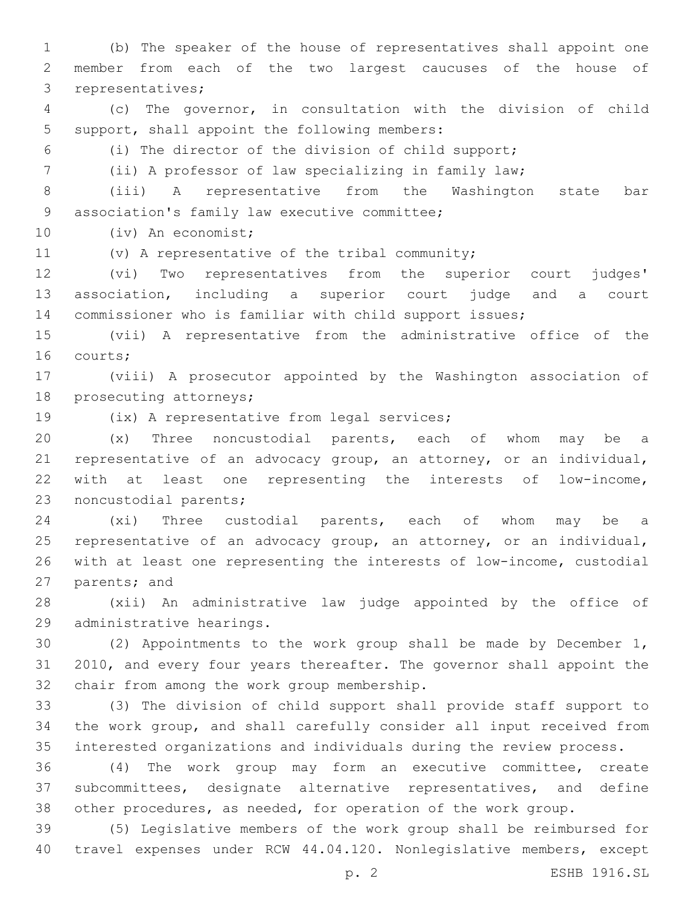(b) The speaker of the house of representatives shall appoint one member from each of the two largest caucuses of the house of 3 representatives;

 (c) The governor, in consultation with the division of child 5 support, shall appoint the following members:

(i) The director of the division of child support;

(ii) A professor of law specializing in family law;

 (iii) A representative from the Washington state bar 9 association's family law executive committee;

10 (iv) An economist;

11 (v) A representative of the tribal community;

 (vi) Two representatives from the superior court judges' association, including a superior court judge and a court commissioner who is familiar with child support issues;

 (vii) A representative from the administrative office of the 16 courts;

 (viii) A prosecutor appointed by the Washington association of 18 prosecuting attorneys;

19 (ix) A representative from legal services;

 (x) Three noncustodial parents, each of whom may be a representative of an advocacy group, an attorney, or an individual, with at least one representing the interests of low-income, 23 noncustodial parents;

 (xi) Three custodial parents, each of whom may be a representative of an advocacy group, an attorney, or an individual, with at least one representing the interests of low-income, custodial 27 parents; and

 (xii) An administrative law judge appointed by the office of 29 administrative hearings.

 (2) Appointments to the work group shall be made by December 1, 2010, and every four years thereafter. The governor shall appoint the 32 chair from among the work group membership.

 (3) The division of child support shall provide staff support to the work group, and shall carefully consider all input received from interested organizations and individuals during the review process.

 (4) The work group may form an executive committee, create subcommittees, designate alternative representatives, and define other procedures, as needed, for operation of the work group.

 (5) Legislative members of the work group shall be reimbursed for travel expenses under RCW 44.04.120. Nonlegislative members, except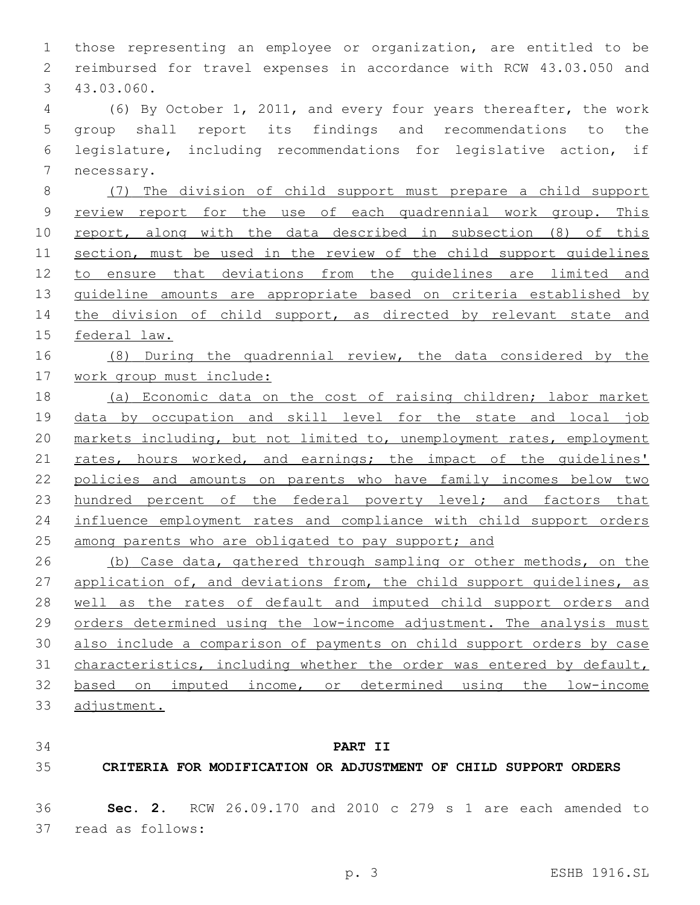those representing an employee or organization, are entitled to be reimbursed for travel expenses in accordance with RCW 43.03.050 and 43.03.060.3 (6) By October 1, 2011, and every four years thereafter, the work group shall report its findings and recommendations to the legislature, including recommendations for legislative action, if 7 necessary. (7) The division of child support must prepare a child support review report for the use of each quadrennial work group. This 10 report, along with the data described in subsection (8) of this section, must be used in the review of the child support guidelines to ensure that deviations from the guidelines are limited and guideline amounts are appropriate based on criteria established by 14 the division of child support, as directed by relevant state and federal law. (8) During the quadrennial review, the data considered by the 17 work group must include: (a) Economic data on the cost of raising children; labor market data by occupation and skill level for the state and local job markets including, but not limited to, unemployment rates, employment 21 rates, hours worked, and earnings; the impact of the quidelines' policies and amounts on parents who have family incomes below two 23 hundred percent of the federal poverty level; and factors that influence employment rates and compliance with child support orders 25 among parents who are obligated to pay support; and (b) Case data, gathered through sampling or other methods, on the 27 application of, and deviations from, the child support quidelines, as 28 well as the rates of default and imputed child support orders and orders determined using the low-income adjustment. The analysis must also include a comparison of payments on child support orders by case characteristics, including whether the order was entered by default, based on imputed income, or determined using the low-income adjustment.

**PART II**

**CRITERIA FOR MODIFICATION OR ADJUSTMENT OF CHILD SUPPORT ORDERS**

 **Sec. 2.** RCW 26.09.170 and 2010 c 279 s 1 are each amended to 37 read as follows: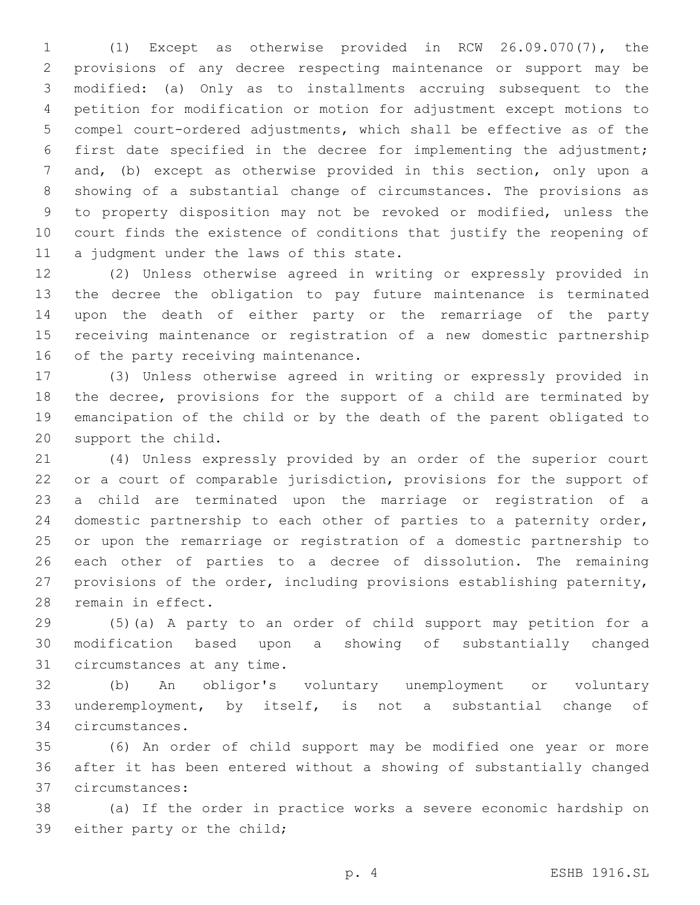(1) Except as otherwise provided in RCW 26.09.070(7), the provisions of any decree respecting maintenance or support may be modified: (a) Only as to installments accruing subsequent to the petition for modification or motion for adjustment except motions to compel court-ordered adjustments, which shall be effective as of the first date specified in the decree for implementing the adjustment; and, (b) except as otherwise provided in this section, only upon a showing of a substantial change of circumstances. The provisions as to property disposition may not be revoked or modified, unless the court finds the existence of conditions that justify the reopening of 11 a judgment under the laws of this state.

 (2) Unless otherwise agreed in writing or expressly provided in the decree the obligation to pay future maintenance is terminated upon the death of either party or the remarriage of the party receiving maintenance or registration of a new domestic partnership 16 of the party receiving maintenance.

 (3) Unless otherwise agreed in writing or expressly provided in the decree, provisions for the support of a child are terminated by emancipation of the child or by the death of the parent obligated to 20 support the child.

 (4) Unless expressly provided by an order of the superior court or a court of comparable jurisdiction, provisions for the support of a child are terminated upon the marriage or registration of a domestic partnership to each other of parties to a paternity order, or upon the remarriage or registration of a domestic partnership to each other of parties to a decree of dissolution. The remaining provisions of the order, including provisions establishing paternity, 28 remain in effect.

 (5)(a) A party to an order of child support may petition for a modification based upon a showing of substantially changed 31 circumstances at any time.

 (b) An obligor's voluntary unemployment or voluntary underemployment, by itself, is not a substantial change of circumstances.34

 (6) An order of child support may be modified one year or more after it has been entered without a showing of substantially changed circumstances:37

 (a) If the order in practice works a severe economic hardship on 39 either party or the child;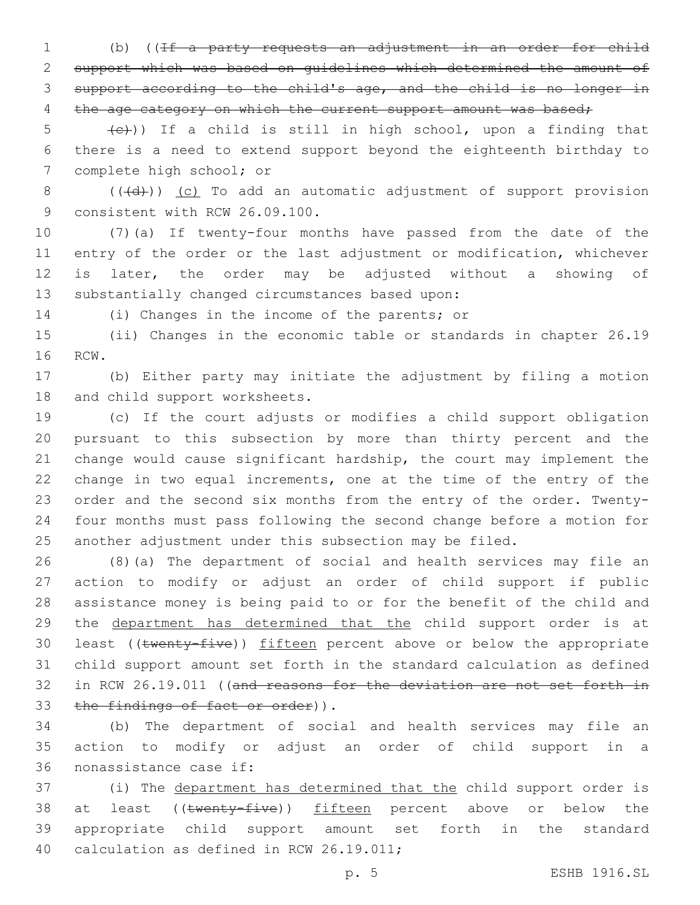(b) ((If a party requests an adjustment in an order for child support which was based on guidelines which determined the amount of support according to the child's age, and the child is no longer in 4 the age category on which the current support amount was based;

 $(6)$  (e)) If a child is still in high school, upon a finding that there is a need to extend support beyond the eighteenth birthday to 7 complete high school; or

8 (((d))) (c) To add an automatic adjustment of support provision 9 consistent with RCW 26.09.100.

 (7)(a) If twenty-four months have passed from the date of the entry of the order or the last adjustment or modification, whichever is later, the order may be adjusted without a showing of 13 substantially changed circumstances based upon:

14 (i) Changes in the income of the parents; or

 (ii) Changes in the economic table or standards in chapter 26.19 16 RCW.

 (b) Either party may initiate the adjustment by filing a motion 18 and child support worksheets.

 (c) If the court adjusts or modifies a child support obligation pursuant to this subsection by more than thirty percent and the change would cause significant hardship, the court may implement the change in two equal increments, one at the time of the entry of the order and the second six months from the entry of the order. Twenty- four months must pass following the second change before a motion for another adjustment under this subsection may be filed.

 (8)(a) The department of social and health services may file an action to modify or adjust an order of child support if public assistance money is being paid to or for the benefit of the child and the department has determined that the child support order is at 30 least ((twenty-five)) fifteen percent above or below the appropriate child support amount set forth in the standard calculation as defined in RCW 26.19.011 ((and reasons for the deviation are not set forth in 33 the findings of fact or order)).

 (b) The department of social and health services may file an action to modify or adjust an order of child support in a 36 nonassistance case if:

 (i) The department has determined that the child support order is 38 at least ((twenty-five)) fifteen percent above or below the appropriate child support amount set forth in the standard 40 calculation as defined in RCW 26.19.011;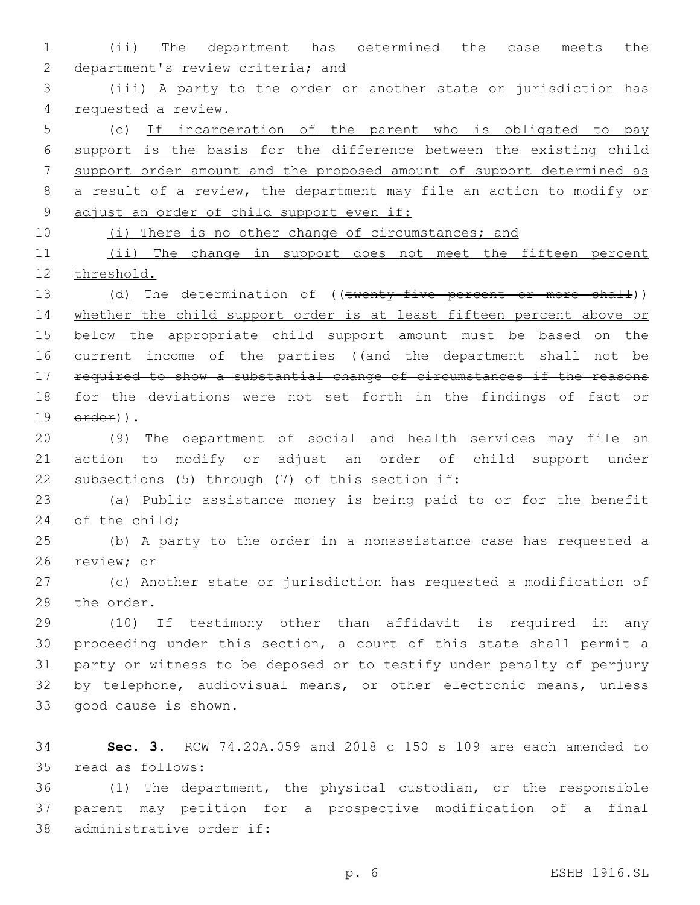1 (ii) The department has determined the case meets the 2 department's review criteria; and

3 (iii) A party to the order or another state or jurisdiction has 4 requested a review.

 (c) If incarceration of the parent who is obligated to pay support is the basis for the difference between the existing child support order amount and the proposed amount of support determined as a result of a review, the department may file an action to modify or 9 adjust an order of child support even if:

10 (i) There is no other change of circumstances; and

11 (ii) The change in support does not meet the fifteen percent 12 threshold.

13 (d) The determination of ((twenty-five percent or more shall)) 14 whether the child support order is at least fifteen percent above or 15 below the appropriate child support amount must be based on the 16 current income of the parties ((and the department shall not be 17 required to show a substantial change of circumstances if the reasons 18 for the deviations were not set forth in the findings of fact or  $19$   $\text{order}$ )).

20 (9) The department of social and health services may file an 21 action to modify or adjust an order of child support under 22 subsections (5) through (7) of this section if:

23 (a) Public assistance money is being paid to or for the benefit 24 of the child;

25 (b) A party to the order in a nonassistance case has requested a 26 review; or

27 (c) Another state or jurisdiction has requested a modification of 28 the order.

 (10) If testimony other than affidavit is required in any proceeding under this section, a court of this state shall permit a party or witness to be deposed or to testify under penalty of perjury by telephone, audiovisual means, or other electronic means, unless 33 good cause is shown.

34 **Sec. 3.** RCW 74.20A.059 and 2018 c 150 s 109 are each amended to 35 read as follows:

36 (1) The department, the physical custodian, or the responsible 37 parent may petition for a prospective modification of a final 38 administrative order if: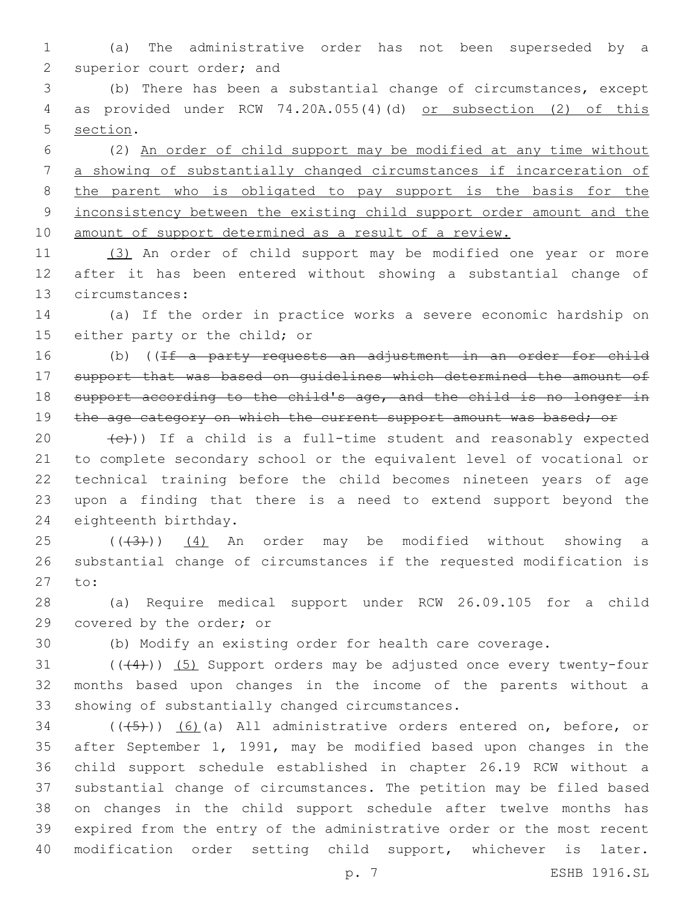(a) The administrative order has not been superseded by a 2 superior court order; and

 (b) There has been a substantial change of circumstances, except as provided under RCW 74.20A.055(4)(d) or subsection (2) of this 5 section.

 (2) An order of child support may be modified at any time without a showing of substantially changed circumstances if incarceration of 8 the parent who is obligated to pay support is the basis for the inconsistency between the existing child support order amount and the 10 amount of support determined as a result of a review.

 (3) An order of child support may be modified one year or more after it has been entered without showing a substantial change of 13 circumstances:

 (a) If the order in practice works a severe economic hardship on 15 either party or the child; or

16 (b) ((If a party requests an adjustment in an order for child support that was based on guidelines which determined the amount of support according to the child's age, and the child is no longer in 19 the age category on which the current support amount was based; or

 $(e)$ )) If a child is a full-time student and reasonably expected to complete secondary school or the equivalent level of vocational or technical training before the child becomes nineteen years of age upon a finding that there is a need to extend support beyond the 24 eighteenth birthday.

 ( $(\overline{3})$ )  $(4)$  An order may be modified without showing a substantial change of circumstances if the requested modification is 27 to:

 (a) Require medical support under RCW 26.09.105 for a child 29 covered by the order; or

(b) Modify an existing order for health care coverage.

31 ((+4))) (5) Support orders may be adjusted once every twenty-four months based upon changes in the income of the parents without a 33 showing of substantially changed circumstances.

 ( $(\overline{(+5+})$ ) (6)(a) All administrative orders entered on, before, or after September 1, 1991, may be modified based upon changes in the child support schedule established in chapter 26.19 RCW without a substantial change of circumstances. The petition may be filed based on changes in the child support schedule after twelve months has expired from the entry of the administrative order or the most recent modification order setting child support, whichever is later.

p. 7 ESHB 1916.SL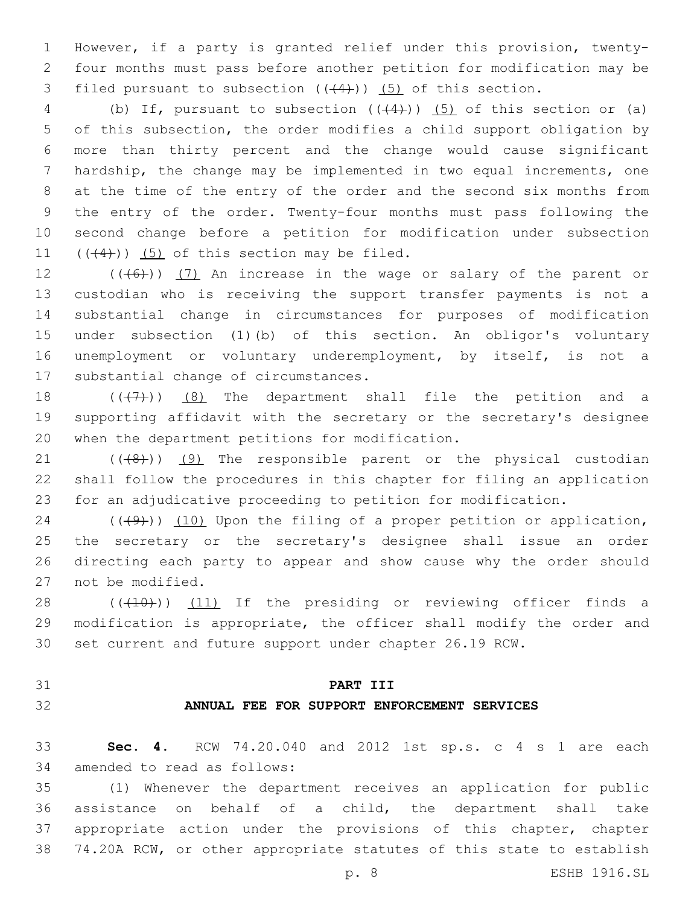However, if a party is granted relief under this provision, twenty- four months must pass before another petition for modification may be 3 filed pursuant to subsection  $((44))$   $(5)$  of this section.

4 (b) If, pursuant to subsection  $((+4))$  (5) of this section or (a) of this subsection, the order modifies a child support obligation by more than thirty percent and the change would cause significant hardship, the change may be implemented in two equal increments, one at the time of the entry of the order and the second six months from the entry of the order. Twenty-four months must pass following the second change before a petition for modification under subsection  $(1)$   $((4)$ )) (5) of this section may be filed.

 $((+6+))$  (7) An increase in the wage or salary of the parent or custodian who is receiving the support transfer payments is not a substantial change in circumstances for purposes of modification under subsection (1)(b) of this section. An obligor's voluntary unemployment or voluntary underemployment, by itself, is not a 17 substantial change of circumstances.

 $((+7+))$  (8) The department shall file the petition and a supporting affidavit with the secretary or the secretary's designee 20 when the department petitions for modification.

 $(1)$  ( $(48)$ ))  $(9)$  The responsible parent or the physical custodian shall follow the procedures in this chapter for filing an application for an adjudicative proceeding to petition for modification.

 $((+9+))$  (10) Upon the filing of a proper petition or application, the secretary or the secretary's designee shall issue an order directing each party to appear and show cause why the order should 27 not be modified.

28 (((410))) (11) If the presiding or reviewing officer finds a modification is appropriate, the officer shall modify the order and set current and future support under chapter 26.19 RCW.

- 
- 

### **PART III**

# **ANNUAL FEE FOR SUPPORT ENFORCEMENT SERVICES**

 **Sec. 4.** RCW 74.20.040 and 2012 1st sp.s. c 4 s 1 are each 34 amended to read as follows:

 (1) Whenever the department receives an application for public assistance on behalf of a child, the department shall take appropriate action under the provisions of this chapter, chapter 74.20A RCW, or other appropriate statutes of this state to establish

p. 8 ESHB 1916.SL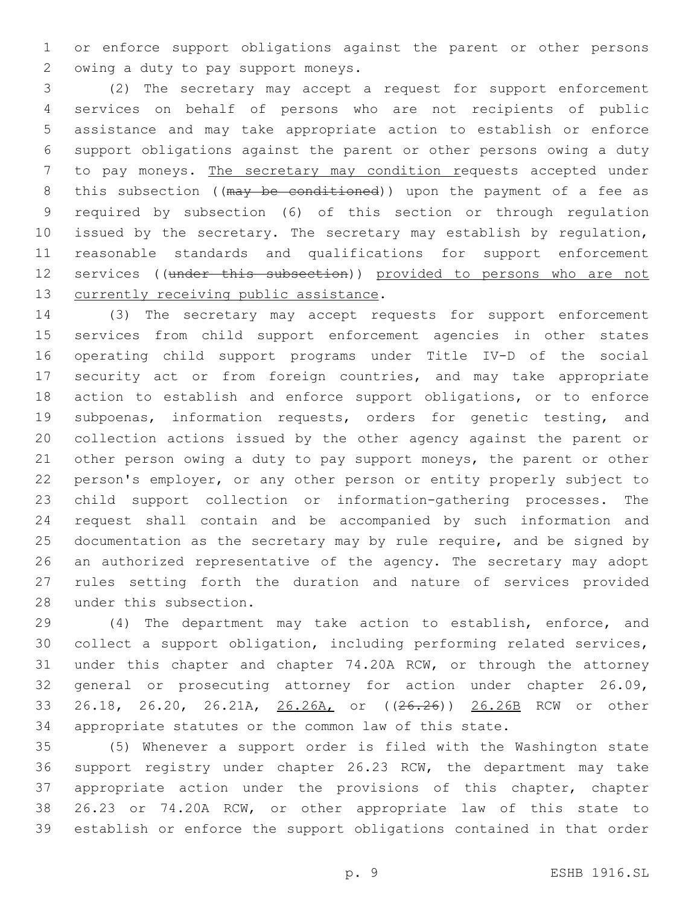or enforce support obligations against the parent or other persons 2 owing a duty to pay support moneys.

 (2) The secretary may accept a request for support enforcement services on behalf of persons who are not recipients of public assistance and may take appropriate action to establish or enforce support obligations against the parent or other persons owing a duty to pay moneys. The secretary may condition requests accepted under 8 this subsection ((may be conditioned)) upon the payment of a fee as required by subsection (6) of this section or through regulation issued by the secretary. The secretary may establish by regulation, reasonable standards and qualifications for support enforcement 12 services ((under this subsection)) provided to persons who are not 13 currently receiving public assistance.

 (3) The secretary may accept requests for support enforcement services from child support enforcement agencies in other states operating child support programs under Title IV-D of the social security act or from foreign countries, and may take appropriate 18 action to establish and enforce support obligations, or to enforce 19 subpoenas, information requests, orders for genetic testing, and collection actions issued by the other agency against the parent or 21 other person owing a duty to pay support moneys, the parent or other person's employer, or any other person or entity properly subject to child support collection or information-gathering processes. The request shall contain and be accompanied by such information and 25 documentation as the secretary may by rule require, and be signed by an authorized representative of the agency. The secretary may adopt rules setting forth the duration and nature of services provided 28 under this subsection.

 (4) The department may take action to establish, enforce, and collect a support obligation, including performing related services, under this chapter and chapter 74.20A RCW, or through the attorney general or prosecuting attorney for action under chapter 26.09, 33 26.18, 26.20, 26.21A, 26.26A, or ((26.26)) 26.26B RCW or other appropriate statutes or the common law of this state.

 (5) Whenever a support order is filed with the Washington state support registry under chapter 26.23 RCW, the department may take appropriate action under the provisions of this chapter, chapter 26.23 or 74.20A RCW, or other appropriate law of this state to establish or enforce the support obligations contained in that order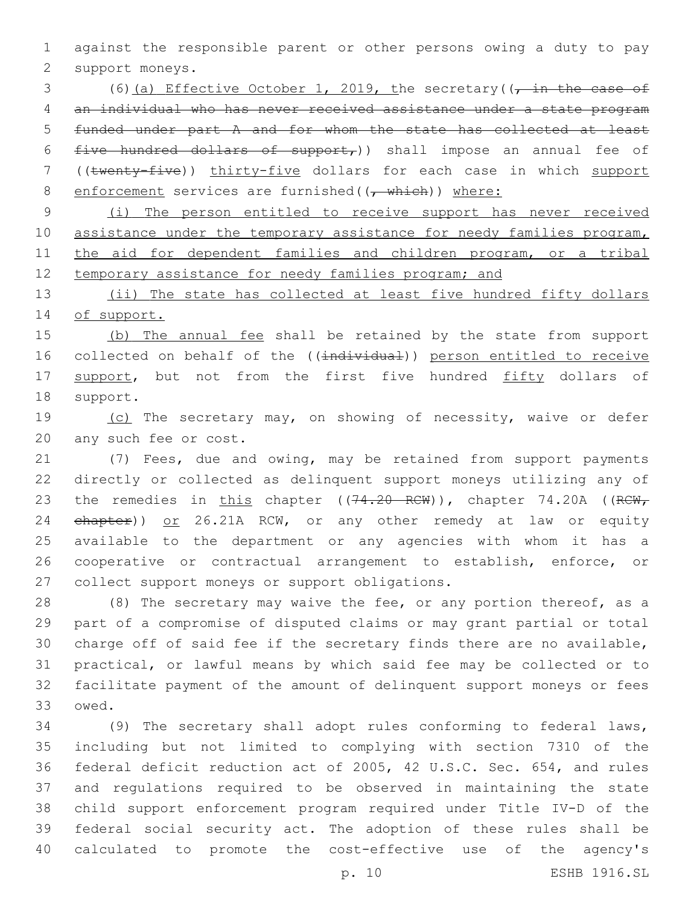1 against the responsible parent or other persons owing a duty to pay 2 support moneys.

3 (6)(a) Effective October 1, 2019, the secretary( $\frac{1}{t}$  in the case of 4 an individual who has never received assistance under a state program 5 funded under part A and for whom the state has collected at least 6 five hundred dollars of support,)) shall impose an annual fee of 7 ((twenty-five)) thirty-five dollars for each case in which support 8 enforcement services are furnished( $(\tau$  which)) where:

9 (i) The person entitled to receive support has never received 10 assistance under the temporary assistance for needy families program, 11 the aid for dependent families and children program, or a tribal 12 temporary assistance for needy families program; and

13 (ii) The state has collected at least five hundred fifty dollars 14 of support.

15 (b) The annual fee shall be retained by the state from support 16 collected on behalf of the ((individual)) person entitled to receive 17 support, but not from the first five hundred fifty dollars of 18 support.

19 (c) The secretary may, on showing of necessity, waive or defer 20 any such fee or cost.

21 (7) Fees, due and owing, may be retained from support payments 22 directly or collected as delinquent support moneys utilizing any of 23 the remedies in this chapter  $((74.20 \text{ RCW}))$ , chapter 74.20A ( $(\text{RCW}_r)$ 24 ehapter)) or 26.21A RCW, or any other remedy at law or equity 25 available to the department or any agencies with whom it has a 26 cooperative or contractual arrangement to establish, enforce, or 27 collect support moneys or support obligations.

28 (8) The secretary may waive the fee, or any portion thereof, as a part of a compromise of disputed claims or may grant partial or total charge off of said fee if the secretary finds there are no available, practical, or lawful means by which said fee may be collected or to facilitate payment of the amount of delinquent support moneys or fees 33 owed.

 (9) The secretary shall adopt rules conforming to federal laws, including but not limited to complying with section 7310 of the federal deficit reduction act of 2005, 42 U.S.C. Sec. 654, and rules and regulations required to be observed in maintaining the state child support enforcement program required under Title IV-D of the federal social security act. The adoption of these rules shall be calculated to promote the cost-effective use of the agency's

p. 10 ESHB 1916.SL